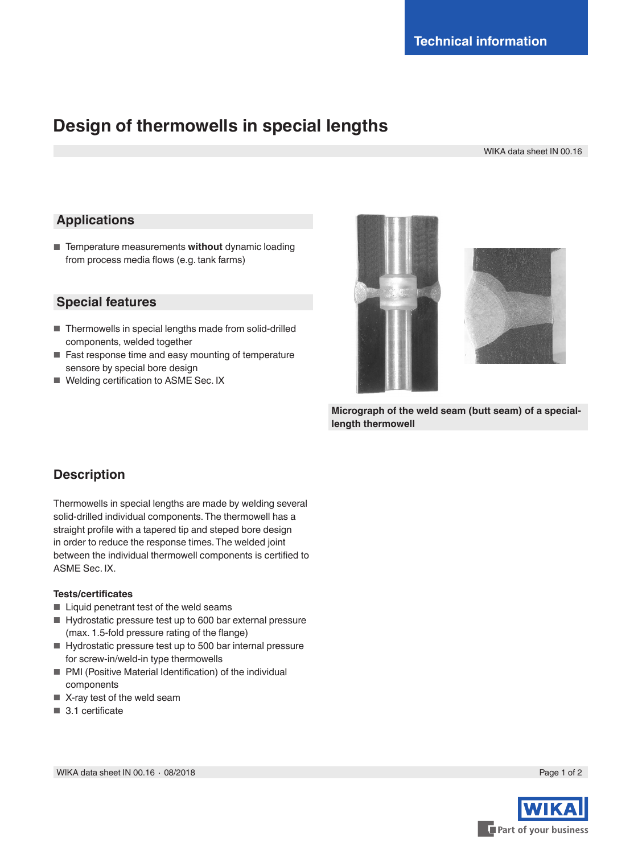# **Design of thermowells in special lengths**

WIKA data sheet IN 00.16

## **Applications**

■ Temperature measurements without dynamic loading from process media flows (e.g. tank farms)

#### **Special features**

- Thermowells in special lengths made from solid-drilled components, welded together
- Fast response time and easy mounting of temperature sensore by special bore design
- Welding certification to ASME Sec. IX





**Micrograph of the weld seam (butt seam) of a speciallength thermowell** 

## **Description**

Thermowells in special lengths are made by welding several solid-drilled individual components. The thermowell has a straight profile with a tapered tip and steped bore design in order to reduce the response times. The welded joint between the individual thermowell components is certified to ASME Sec. IX.

#### **Tests/certificates**

- Liquid penetrant test of the weld seams
- Hydrostatic pressure test up to 600 bar external pressure (max. 1.5-fold pressure rating of the flange)
- Hydrostatic pressure test up to 500 bar internal pressure for screw-in/weld-in type thermowells
- PMI (Positive Material Identification) of the individual components
- X-ray test of the weld seam
- 3.1 certificate